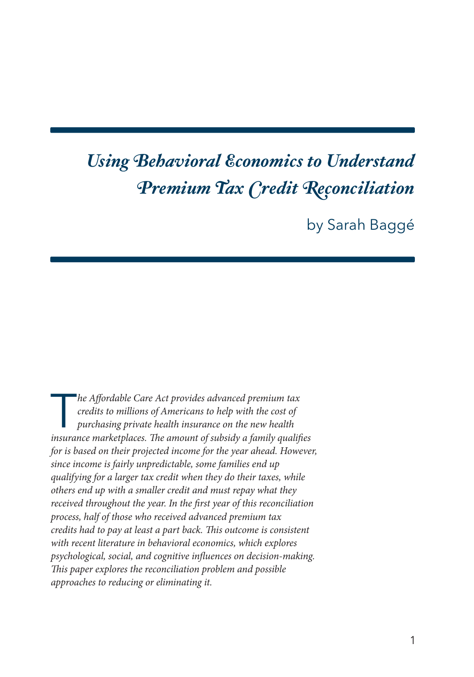# *Using Behavioral Economics to Understand Premium Tax Credit Reconciliation*

by Sarah Baggé

The Affordable Care Act provides advanced premium tax<br>credits to millions of Americans to help with the cost of<br>purchasing private health insurance on the new health<br>insurance meghatpheses. The smown of subside a family su *credits to millions of Americans to help with the cost of purchasing private health insurance on the new health insurance marketplaces. The amount of subsidy a family qualifies for is based on their projected income for the year ahead. However, since income is fairly unpredictable, some families end up qualifying for a larger tax credit when they do their taxes, while others end up with a smaller credit and must repay what they received throughout the year. In the first year of this reconciliation process, half of those who received advanced premium tax credits had to pay at least a part back. This outcome is consistent with recent literature in behavioral economics, which explores psychological, social, and cognitive influences on decision-making. This paper explores the reconciliation problem and possible approaches to reducing or eliminating it.*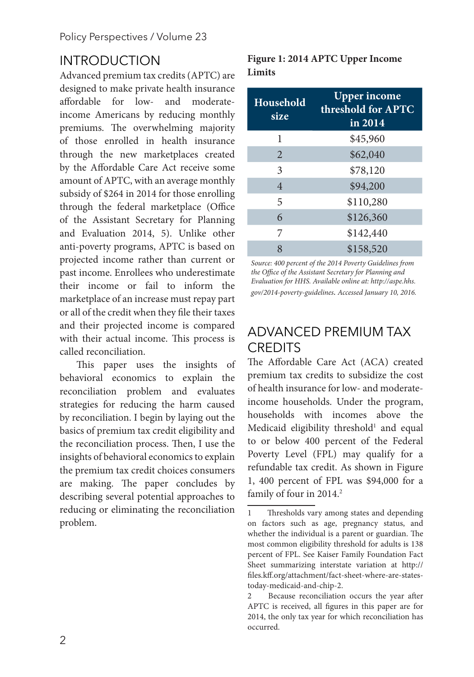### INTRODUCTION

Advanced premium tax credits (APTC) are designed to make private health insurance affordable for low- and moderateincome Americans by reducing monthly premiums. The overwhelming majority of those enrolled in health insurance through the new marketplaces created by the Affordable Care Act receive some amount of APTC, with an average monthly subsidy of \$264 in 2014 for those enrolling through the federal marketplace (Office of the Assistant Secretary for Planning and Evaluation 2014, 5). Unlike other anti-poverty programs, APTC is based on projected income rather than current or past income. Enrollees who underestimate their income or fail to inform the marketplace of an increase must repay part or all of the credit when they file their taxes and their projected income is compared with their actual income. This process is called reconciliation.

This paper uses the insights of behavioral economics to explain the reconciliation problem and evaluates strategies for reducing the harm caused by reconciliation. I begin by laying out the basics of premium tax credit eligibility and the reconciliation process. Then, I use the insights of behavioral economics to explain the premium tax credit choices consumers are making. The paper concludes by describing several potential approaches to reducing or eliminating the reconciliation problem.

#### **Figure 1: 2014 APTC Upper Income Limits**

| <b>Household</b><br>size | <b>Upper income</b><br>threshold for APTC<br>in 2014 |  |  |  |
|--------------------------|------------------------------------------------------|--|--|--|
| 1                        | \$45,960                                             |  |  |  |
| 2                        | \$62,040                                             |  |  |  |
| 3                        | \$78,120                                             |  |  |  |
| $\overline{4}$           | \$94,200                                             |  |  |  |
| 5                        | \$110,280                                            |  |  |  |
| 6                        | \$126,360                                            |  |  |  |
| 7                        | \$142,440                                            |  |  |  |
| 8                        | \$158,520                                            |  |  |  |

*Source: 400 percent of the 2014 Poverty Guidelines from the Office of the Assistant Secretary for Planning and Evaluation for HHS. Available online at: http://aspe.hhs. gov/2014-poverty-guidelines. Accessed January 10, 2016.*

# ADVANCED PREMIUM TAX **CREDITS**

The Affordable Care Act (ACA) created premium tax credits to subsidize the cost of health insurance for low- and moderateincome households. Under the program, households with incomes above the Medicaid eligibility threshold<sup>1</sup> and equal to or below 400 percent of the Federal Poverty Level (FPL) may qualify for a refundable tax credit. As shown in Figure 1, 400 percent of FPL was \$94,000 for a family of four in 2014.<sup>2</sup>

<sup>1</sup> Thresholds vary among states and depending on factors such as age, pregnancy status, and whether the individual is a parent or guardian. The most common eligibility threshold for adults is 138 percent of FPL. See Kaiser Family Foundation Fact Sheet summarizing interstate variation at http:// files.kff.org/attachment/fact-sheet-where-are-statestoday-medicaid-and-chip-2.

<sup>2</sup> Because reconciliation occurs the year after APTC is received, all figures in this paper are for 2014, the only tax year for which reconciliation has occurred.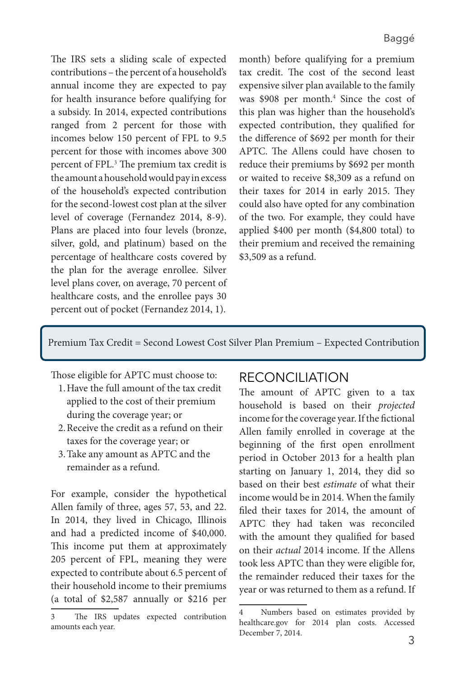The IRS sets a sliding scale of expected contributions – the percent of a household's annual income they are expected to pay for health insurance before qualifying for a subsidy. In 2014, expected contributions ranged from 2 percent for those with incomes below 150 percent of FPL to 9.5 percent for those with incomes above 300 percent of FPL.<sup>3</sup> The premium tax credit is the amount a household would pay in excess of the household's expected contribution for the second-lowest cost plan at the silver level of coverage (Fernandez 2014, 8-9). Plans are placed into four levels (bronze, silver, gold, and platinum) based on the percentage of healthcare costs covered by the plan for the average enrollee. Silver level plans cover, on average, 70 percent of healthcare costs, and the enrollee pays 30 percent out of pocket (Fernandez 2014, 1).

month) before qualifying for a premium tax credit. The cost of the second least expensive silver plan available to the family was \$908 per month.<sup>4</sup> Since the cost of this plan was higher than the household's expected contribution, they qualified for the difference of \$692 per month for their APTC. The Allens could have chosen to reduce their premiums by \$692 per month or waited to receive \$8,309 as a refund on their taxes for 2014 in early 2015. They could also have opted for any combination of the two. For example, they could have applied \$400 per month (\$4,800 total) to their premium and received the remaining \$3,509 as a refund.

Premium Tax Credit = Second Lowest Cost Silver Plan Premium – Expected Contribution

Those eligible for APTC must choose to: 1.Have the full amount of the tax credit

- applied to the cost of their premium during the coverage year; or
- 2.Receive the credit as a refund on their taxes for the coverage year; or
- 3.Take any amount as APTC and the remainder as a refund.

For example, consider the hypothetical Allen family of three, ages 57, 53, and 22. In 2014, they lived in Chicago, Illinois and had a predicted income of \$40,000. This income put them at approximately 205 percent of FPL, meaning they were expected to contribute about 6.5 percent of their household income to their premiums (a total of \$2,587 annually or \$216 per

#### RECONCILIATION

The amount of APTC given to a tax household is based on their *projected* income for the coverage year. If the fictional Allen family enrolled in coverage at the beginning of the first open enrollment period in October 2013 for a health plan starting on January 1, 2014, they did so based on their best *estimate* of what their income would be in 2014. When the family filed their taxes for 2014, the amount of APTC they had taken was reconciled with the amount they qualified for based on their *actual* 2014 income. If the Allens took less APTC than they were eligible for, the remainder reduced their taxes for the year or was returned to them as a refund. If

<sup>3</sup> The IRS updates expected contribution amounts each year.

Numbers based on estimates provided by healthcare.gov for 2014 plan costs. Accessed December 7, 2014.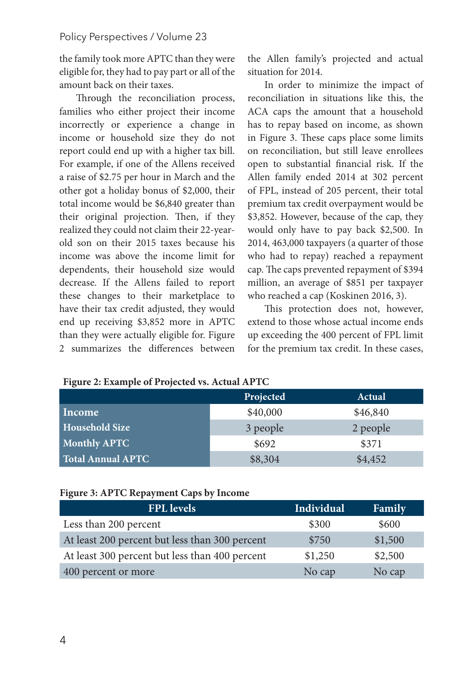the family took more APTC than they were eligible for, they had to pay part or all of the amount back on their taxes.

Through the reconciliation process, families who either project their income incorrectly or experience a change in income or household size they do not report could end up with a higher tax bill. For example, if one of the Allens received a raise of \$2.75 per hour in March and the other got a holiday bonus of \$2,000, their total income would be \$6,840 greater than their original projection. Then, if they realized they could not claim their 22-yearold son on their 2015 taxes because his income was above the income limit for dependents, their household size would decrease. If the Allens failed to report these changes to their marketplace to have their tax credit adjusted, they would end up receiving \$3,852 more in APTC than they were actually eligible for. Figure 2 summarizes the differences between

the Allen family's projected and actual situation for 2014.

In order to minimize the impact of reconciliation in situations like this, the ACA caps the amount that a household has to repay based on income, as shown in Figure 3. These caps place some limits on reconciliation, but still leave enrollees open to substantial financial risk. If the Allen family ended 2014 at 302 percent of FPL, instead of 205 percent, their total premium tax credit overpayment would be \$3,852. However, because of the cap, they would only have to pay back \$2,500. In 2014, 463,000 taxpayers (a quarter of those who had to repay) reached a repayment cap. The caps prevented repayment of \$394 million, an average of \$851 per taxpayer who reached a cap (Koskinen 2016, 3).

This protection does not, however, extend to those whose actual income ends up exceeding the 400 percent of FPL limit for the premium tax credit. In these cases,

| ັ                     |           |               |
|-----------------------|-----------|---------------|
|                       | Projected | <b>Actual</b> |
| Income                | \$40,000  | \$46,840      |
| <b>Household Size</b> | 3 people  | 2 people      |
| <b>Monthly APTC</b>   | \$692     | \$371         |
| Total Annual APTC     | \$8,304   | \$4,452       |

**Figure 2: Example of Projected vs. Actual APTC**

#### **Figure 3: APTC Repayment Caps by Income**

| <b>FPL</b> levels                              | Individual | Family  |
|------------------------------------------------|------------|---------|
| Less than 200 percent                          | \$300      | \$600   |
| At least 200 percent but less than 300 percent | \$750      | \$1,500 |
| At least 300 percent but less than 400 percent | \$1,250    | \$2,500 |
| 400 percent or more                            | No cap     | No cap  |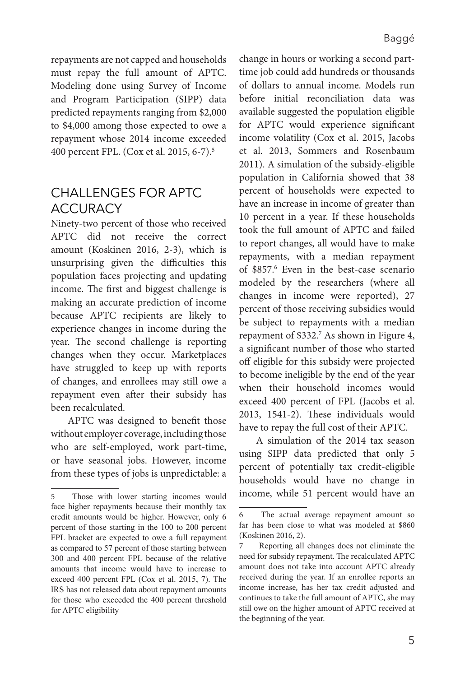repayments are not capped and households must repay the full amount of APTC. Modeling done using Survey of Income and Program Participation (SIPP) data predicted repayments ranging from \$2,000 to \$4,000 among those expected to owe a repayment whose 2014 income exceeded 400 percent FPL. (Cox et al. 2015, 6-7).5

### CHALLENGES FOR APTC **ACCURACY**

Ninety-two percent of those who received APTC did not receive the correct amount (Koskinen 2016, 2-3), which is unsurprising given the difficulties this population faces projecting and updating income. The first and biggest challenge is making an accurate prediction of income because APTC recipients are likely to experience changes in income during the year. The second challenge is reporting changes when they occur. Marketplaces have struggled to keep up with reports of changes, and enrollees may still owe a repayment even after their subsidy has been recalculated.

APTC was designed to benefit those without employer coverage, including those who are self-employed, work part-time, or have seasonal jobs. However, income from these types of jobs is unpredictable: a

change in hours or working a second parttime job could add hundreds or thousands of dollars to annual income. Models run before initial reconciliation data was available suggested the population eligible for APTC would experience significant income volatility (Cox et al. 2015, Jacobs et al. 2013, Sommers and Rosenbaum 2011). A simulation of the subsidy-eligible population in California showed that 38 percent of households were expected to have an increase in income of greater than 10 percent in a year. If these households took the full amount of APTC and failed to report changes, all would have to make repayments, with a median repayment of \$857.6 Even in the best-case scenario modeled by the researchers (where all changes in income were reported), 27 percent of those receiving subsidies would be subject to repayments with a median repayment of \$332.7 As shown in Figure 4, a significant number of those who started off eligible for this subsidy were projected to become ineligible by the end of the year when their household incomes would exceed 400 percent of FPL (Jacobs et al. 2013, 1541-2). These individuals would have to repay the full cost of their APTC.

A simulation of the 2014 tax season using SIPP data predicted that only 5 percent of potentially tax credit-eligible households would have no change in income, while 51 percent would have an

<sup>5</sup> Those with lower starting incomes would face higher repayments because their monthly tax credit amounts would be higher. However, only 6 percent of those starting in the 100 to 200 percent FPL bracket are expected to owe a full repayment as compared to 57 percent of those starting between 300 and 400 percent FPL because of the relative amounts that income would have to increase to exceed 400 percent FPL (Cox et al. 2015, 7). The IRS has not released data about repayment amounts for those who exceeded the 400 percent threshold for APTC eligibility

<sup>6</sup> The actual average repayment amount so far has been close to what was modeled at \$860 (Koskinen 2016, 2).

Reporting all changes does not eliminate the need for subsidy repayment. The recalculated APTC amount does not take into account APTC already received during the year. If an enrollee reports an income increase, has her tax credit adjusted and continues to take the full amount of APTC, she may still owe on the higher amount of APTC received at the beginning of the year.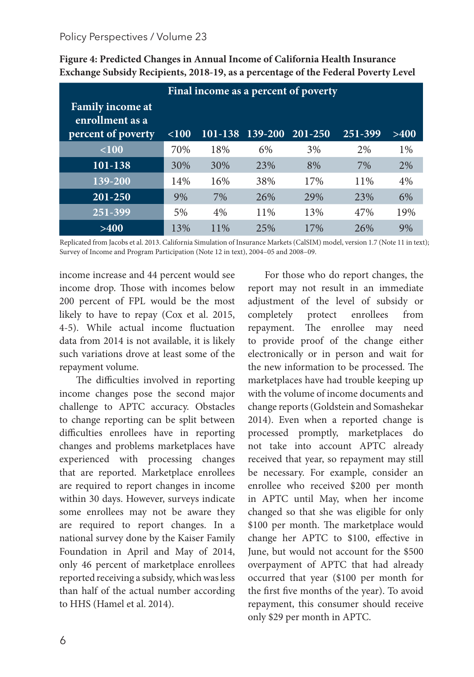| Final income as a percent of poverty                             |          |         |         |         |         |       |  |  |
|------------------------------------------------------------------|----------|---------|---------|---------|---------|-------|--|--|
| <b>Family income at</b><br>enrollment as a<br>percent of poverty | ${<}100$ | 101-138 | 139-200 | 201-250 | 251-399 | >400  |  |  |
|                                                                  |          |         |         |         |         |       |  |  |
| < 100                                                            | 70%      | 18%     | 6%      | 3%      | 2%      | $1\%$ |  |  |
| 101-138                                                          | 30%      | 30%     | 23%     | 8%      | 7%      | 2%    |  |  |
| 139-200                                                          | 14%      | 16%     | 38%     | 17%     | 11%     | 4%    |  |  |
| 201-250                                                          | 9%       | 7%      | 26%     | 29%     | 23%     | 6%    |  |  |
| 251-399                                                          | 5%       | $4\%$   | 11%     | 13%     | 47%     | 19%   |  |  |
| >400                                                             | 13%      | 11%     | 25%     | 17%     | 26%     | 9%    |  |  |

**Figure 4: Predicted Changes in Annual Income of California Health Insurance Exchange Subsidy Recipients, 2018-19, as a percentage of the Federal Poverty Level**

Replicated from Jacobs et al. 2013. California Simulation of Insurance Markets (CalSIM) model, version 1.7 (Note 11 in text); Survey of Income and Program Participation (Note 12 in text), 2004–05 and 2008–09.

income increase and 44 percent would see income drop. Those with incomes below 200 percent of FPL would be the most likely to have to repay (Cox et al. 2015, 4-5). While actual income fluctuation data from 2014 is not available, it is likely such variations drove at least some of the repayment volume.

The difficulties involved in reporting income changes pose the second major challenge to APTC accuracy. Obstacles to change reporting can be split between difficulties enrollees have in reporting changes and problems marketplaces have experienced with processing changes that are reported. Marketplace enrollees are required to report changes in income within 30 days. However, surveys indicate some enrollees may not be aware they are required to report changes. In a national survey done by the Kaiser Family Foundation in April and May of 2014, only 46 percent of marketplace enrollees reported receiving a subsidy, which was less than half of the actual number according to HHS (Hamel et al. 2014).

For those who do report changes, the report may not result in an immediate adjustment of the level of subsidy or completely protect enrollees from repayment. The enrollee may need to provide proof of the change either electronically or in person and wait for the new information to be processed. The marketplaces have had trouble keeping up with the volume of income documents and change reports (Goldstein and Somashekar 2014). Even when a reported change is processed promptly, marketplaces do not take into account APTC already received that year, so repayment may still be necessary. For example, consider an enrollee who received \$200 per month in APTC until May, when her income changed so that she was eligible for only \$100 per month. The marketplace would change her APTC to \$100, effective in June, but would not account for the \$500 overpayment of APTC that had already occurred that year (\$100 per month for the first five months of the year). To avoid repayment, this consumer should receive only \$29 per month in APTC.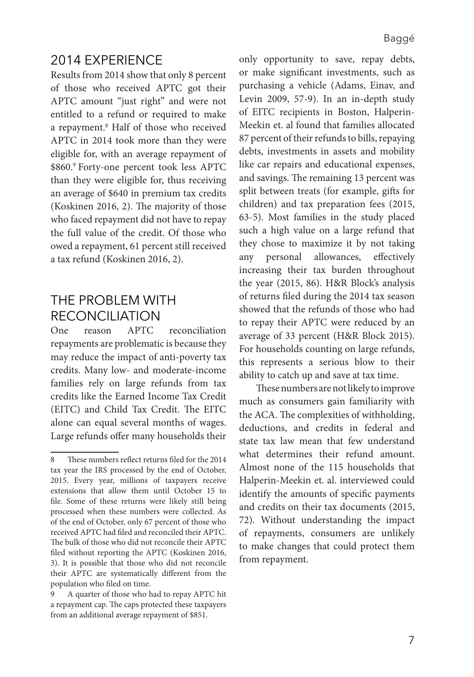### 2014 EXPERIENCE

Results from 2014 show that only 8 percent of those who received APTC got their APTC amount "just right" and were not entitled to a refund or required to make a repayment.<sup>8</sup> Half of those who received APTC in 2014 took more than they were eligible for, with an average repayment of \$860.9 Forty-one percent took less APTC than they were eligible for, thus receiving an average of \$640 in premium tax credits (Koskinen 2016, 2). The majority of those who faced repayment did not have to repay the full value of the credit. Of those who owed a repayment, 61 percent still received a tax refund (Koskinen 2016, 2).

### THE PROBLEM WITH RECONCILIATION

One reason APTC reconciliation repayments are problematic is because they may reduce the impact of anti-poverty tax credits. Many low- and moderate-income families rely on large refunds from tax credits like the Earned Income Tax Credit (EITC) and Child Tax Credit. The EITC alone can equal several months of wages. Large refunds offer many households their only opportunity to save, repay debts, or make significant investments, such as purchasing a vehicle (Adams, Einav, and Levin 2009, 57-9). In an in-depth study of EITC recipients in Boston, Halperin-Meekin et. al found that families allocated 87 percent of their refunds to bills, repaying debts, investments in assets and mobility like car repairs and educational expenses, and savings. The remaining 13 percent was split between treats (for example, gifts for children) and tax preparation fees (2015, 63-5). Most families in the study placed such a high value on a large refund that they chose to maximize it by not taking any personal allowances, effectively increasing their tax burden throughout the year (2015, 86). H&R Block's analysis of returns filed during the 2014 tax season showed that the refunds of those who had to repay their APTC were reduced by an average of 33 percent (H&R Block 2015). For households counting on large refunds, this represents a serious blow to their ability to catch up and save at tax time.

These numbers are not likely to improve much as consumers gain familiarity with the ACA. The complexities of withholding, deductions, and credits in federal and state tax law mean that few understand what determines their refund amount. Almost none of the 115 households that Halperin-Meekin et. al. interviewed could identify the amounts of specific payments and credits on their tax documents (2015, 72). Without understanding the impact of repayments, consumers are unlikely to make changes that could protect them from repayment.

<sup>8</sup> These numbers reflect returns filed for the 2014 tax year the IRS processed by the end of October, 2015. Every year, millions of taxpayers receive extensions that allow them until October 15 to file. Some of these returns were likely still being processed when these numbers were collected. As of the end of October, only 67 percent of those who received APTC had filed and reconciled their APTC. The bulk of those who did not reconcile their APTC filed without reporting the APTC (Koskinen 2016, 3). It is possible that those who did not reconcile their APTC are systematically different from the population who filed on time.

<sup>9</sup> A quarter of those who had to repay APTC hit a repayment cap. The caps protected these taxpayers from an additional average repayment of \$851.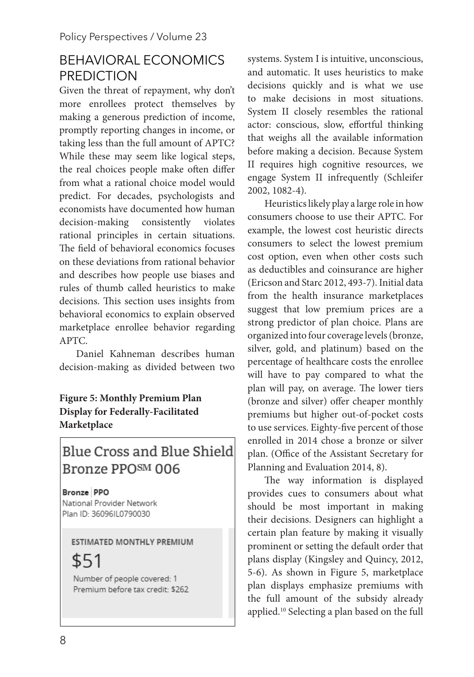### BEHAVIORAL ECONOMICS PREDICTION

Given the threat of repayment, why don't more enrollees protect themselves by making a generous prediction of income, promptly reporting changes in income, or taking less than the full amount of APTC? While these may seem like logical steps, the real choices people make often differ from what a rational choice model would predict. For decades, psychologists and economists have documented how human decision-making consistently violates rational principles in certain situations. The field of behavioral economics focuses on these deviations from rational behavior and describes how people use biases and rules of thumb called heuristics to make decisions. This section uses insights from behavioral economics to explain observed marketplace enrollee behavior regarding APTC.

Daniel Kahneman describes human decision-making as divided between two

**Figure 5: Monthly Premium Plan Display for Federally-Facilitated Marketplace**

# **Blue Cross and Blue Shield** Bronze PPOSM 006

Bronze PPO National Provider Network Plan ID: 36096IL0790030

#### **ESTIMATED MONTHLY PREMIUM**

\$51

Number of people covered: 1 Premium before tax credit: \$262

systems. System I is intuitive, unconscious, and automatic. It uses heuristics to make decisions quickly and is what we use to make decisions in most situations. System II closely resembles the rational actor: conscious, slow, effortful thinking that weighs all the available information before making a decision. Because System II requires high cognitive resources, we engage System II infrequently (Schleifer 2002, 1082-4).

Heuristics likely play a large role in how consumers choose to use their APTC. For example, the lowest cost heuristic directs consumers to select the lowest premium cost option, even when other costs such as deductibles and coinsurance are higher (Ericson and Starc 2012, 493-7). Initial data from the health insurance marketplaces suggest that low premium prices are a strong predictor of plan choice. Plans are organized into four coverage levels (bronze, silver, gold, and platinum) based on the percentage of healthcare costs the enrollee will have to pay compared to what the plan will pay, on average. The lower tiers (bronze and silver) offer cheaper monthly premiums but higher out-of-pocket costs to use services. Eighty-five percent of those enrolled in 2014 chose a bronze or silver plan. (Office of the Assistant Secretary for Planning and Evaluation 2014, 8).

The way information is displayed provides cues to consumers about what should be most important in making their decisions. Designers can highlight a certain plan feature by making it visually prominent or setting the default order that plans display (Kingsley and Quincy, 2012, 5-6). As shown in Figure 5, marketplace plan displays emphasize premiums with the full amount of the subsidy already applied.10 Selecting a plan based on the full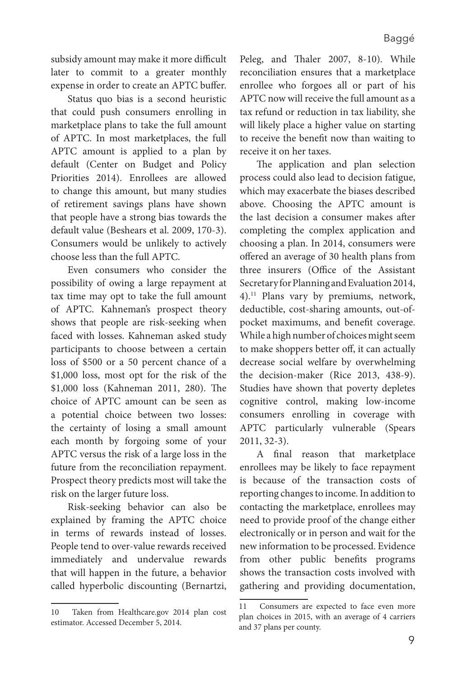subsidy amount may make it more difficult later to commit to a greater monthly expense in order to create an APTC buffer.

Status quo bias is a second heuristic that could push consumers enrolling in marketplace plans to take the full amount of APTC. In most marketplaces, the full APTC amount is applied to a plan by default (Center on Budget and Policy Priorities 2014). Enrollees are allowed to change this amount, but many studies of retirement savings plans have shown that people have a strong bias towards the default value (Beshears et al. 2009, 170-3). Consumers would be unlikely to actively choose less than the full APTC.

Even consumers who consider the possibility of owing a large repayment at tax time may opt to take the full amount of APTC. Kahneman's prospect theory shows that people are risk-seeking when faced with losses. Kahneman asked study participants to choose between a certain loss of \$500 or a 50 percent chance of a \$1,000 loss, most opt for the risk of the \$1,000 loss (Kahneman 2011, 280). The choice of APTC amount can be seen as a potential choice between two losses: the certainty of losing a small amount each month by forgoing some of your APTC versus the risk of a large loss in the future from the reconciliation repayment. Prospect theory predicts most will take the risk on the larger future loss.

Risk-seeking behavior can also be explained by framing the APTC choice in terms of rewards instead of losses. People tend to over-value rewards received immediately and undervalue rewards that will happen in the future, a behavior called hyperbolic discounting (Bernartzi,

Peleg, and Thaler 2007, 8-10). While reconciliation ensures that a marketplace enrollee who forgoes all or part of his APTC now will receive the full amount as a tax refund or reduction in tax liability, she will likely place a higher value on starting to receive the benefit now than waiting to receive it on her taxes.

The application and plan selection process could also lead to decision fatigue, which may exacerbate the biases described above. Choosing the APTC amount is the last decision a consumer makes after completing the complex application and choosing a plan. In 2014, consumers were offered an average of 30 health plans from three insurers (Office of the Assistant Secretary for Planning and Evaluation 2014, 4).11 Plans vary by premiums, network, deductible, cost-sharing amounts, out-ofpocket maximums, and benefit coverage. While a high number of choices might seem to make shoppers better off, it can actually decrease social welfare by overwhelming the decision-maker (Rice 2013, 438-9). Studies have shown that poverty depletes cognitive control, making low-income consumers enrolling in coverage with APTC particularly vulnerable (Spears 2011, 32-3).

A final reason that marketplace enrollees may be likely to face repayment is because of the transaction costs of reporting changes to income. In addition to contacting the marketplace, enrollees may need to provide proof of the change either electronically or in person and wait for the new information to be processed. Evidence from other public benefits programs shows the transaction costs involved with gathering and providing documentation,

<sup>10</sup> Taken from Healthcare.gov 2014 plan cost estimator. Accessed December 5, 2014.

<sup>11</sup> Consumers are expected to face even more plan choices in 2015, with an average of 4 carriers and 37 plans per county.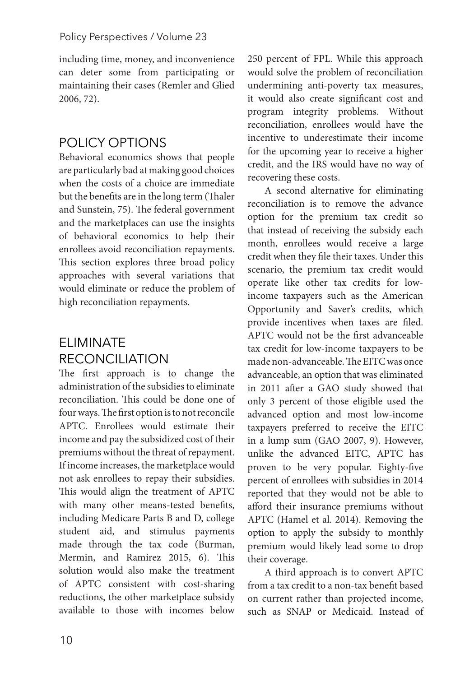including time, money, and inconvenience can deter some from participating or maintaining their cases (Remler and Glied 2006, 72).

## POLICY OPTIONS

Behavioral economics shows that people are particularly bad at making good choices when the costs of a choice are immediate but the benefits are in the long term (Thaler and Sunstein, 75). The federal government and the marketplaces can use the insights of behavioral economics to help their enrollees avoid reconciliation repayments. This section explores three broad policy approaches with several variations that would eliminate or reduce the problem of high reconciliation repayments.

# ELIMINATE **RECONCILIATION**

The first approach is to change the administration of the subsidies to eliminate reconciliation. This could be done one of four ways. The first option is to not reconcile APTC. Enrollees would estimate their income and pay the subsidized cost of their premiums without the threat of repayment. If income increases, the marketplace would not ask enrollees to repay their subsidies. This would align the treatment of APTC with many other means-tested benefits, including Medicare Parts B and D, college student aid, and stimulus payments made through the tax code (Burman, Mermin, and Ramirez 2015, 6). This solution would also make the treatment of APTC consistent with cost-sharing reductions, the other marketplace subsidy available to those with incomes below

250 percent of FPL. While this approach would solve the problem of reconciliation undermining anti-poverty tax measures, it would also create significant cost and program integrity problems. Without reconciliation, enrollees would have the incentive to underestimate their income for the upcoming year to receive a higher credit, and the IRS would have no way of recovering these costs.

A second alternative for eliminating reconciliation is to remove the advance option for the premium tax credit so that instead of receiving the subsidy each month, enrollees would receive a large credit when they file their taxes. Under this scenario, the premium tax credit would operate like other tax credits for lowincome taxpayers such as the American Opportunity and Saver's credits, which provide incentives when taxes are filed. APTC would not be the first advanceable tax credit for low-income taxpayers to be made non-advanceable. The EITC was once advanceable, an option that was eliminated in 2011 after a GAO study showed that only 3 percent of those eligible used the advanced option and most low-income taxpayers preferred to receive the EITC in a lump sum (GAO 2007, 9). However, unlike the advanced EITC, APTC has proven to be very popular. Eighty-five percent of enrollees with subsidies in 2014 reported that they would not be able to afford their insurance premiums without APTC (Hamel et al. 2014). Removing the option to apply the subsidy to monthly premium would likely lead some to drop their coverage.

A third approach is to convert APTC from a tax credit to a non-tax benefit based on current rather than projected income, such as SNAP or Medicaid. Instead of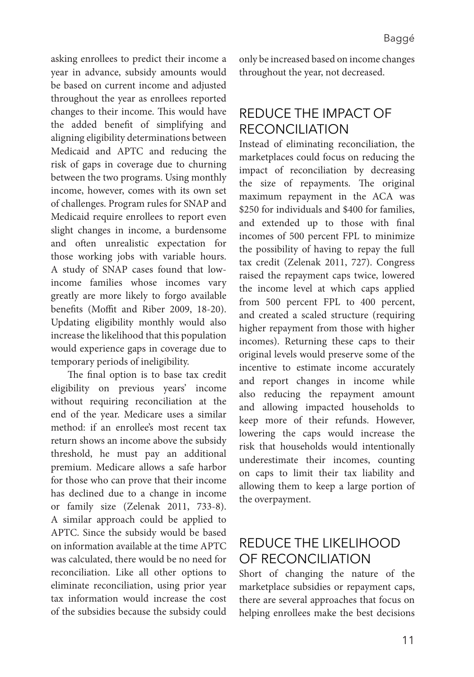asking enrollees to predict their income a year in advance, subsidy amounts would be based on current income and adjusted throughout the year as enrollees reported changes to their income. This would have the added benefit of simplifying and aligning eligibility determinations between Medicaid and APTC and reducing the risk of gaps in coverage due to churning between the two programs. Using monthly income, however, comes with its own set of challenges. Program rules for SNAP and Medicaid require enrollees to report even slight changes in income, a burdensome and often unrealistic expectation for those working jobs with variable hours. A study of SNAP cases found that lowincome families whose incomes vary greatly are more likely to forgo available benefits (Moffit and Riber 2009, 18-20). Updating eligibility monthly would also increase the likelihood that this population would experience gaps in coverage due to temporary periods of ineligibility.

The final option is to base tax credit eligibility on previous years' income without requiring reconciliation at the end of the year. Medicare uses a similar method: if an enrollee's most recent tax return shows an income above the subsidy threshold, he must pay an additional premium. Medicare allows a safe harbor for those who can prove that their income has declined due to a change in income or family size (Zelenak 2011, 733-8). A similar approach could be applied to APTC. Since the subsidy would be based on information available at the time APTC was calculated, there would be no need for reconciliation. Like all other options to eliminate reconciliation, using prior year tax information would increase the cost of the subsidies because the subsidy could

only be increased based on income changes throughout the year, not decreased.

# REDUCE THE IMPACT OF RECONCILIATION

Instead of eliminating reconciliation, the marketplaces could focus on reducing the impact of reconciliation by decreasing the size of repayments. The original maximum repayment in the ACA was \$250 for individuals and \$400 for families, and extended up to those with final incomes of 500 percent FPL to minimize the possibility of having to repay the full tax credit (Zelenak 2011, 727). Congress raised the repayment caps twice, lowered the income level at which caps applied from 500 percent FPL to 400 percent, and created a scaled structure (requiring higher repayment from those with higher incomes). Returning these caps to their original levels would preserve some of the incentive to estimate income accurately and report changes in income while also reducing the repayment amount and allowing impacted households to keep more of their refunds. However, lowering the caps would increase the risk that households would intentionally underestimate their incomes, counting on caps to limit their tax liability and allowing them to keep a large portion of the overpayment.

# REDUCE THE LIKELIHOOD OF RECONCILIATION

Short of changing the nature of the marketplace subsidies or repayment caps, there are several approaches that focus on helping enrollees make the best decisions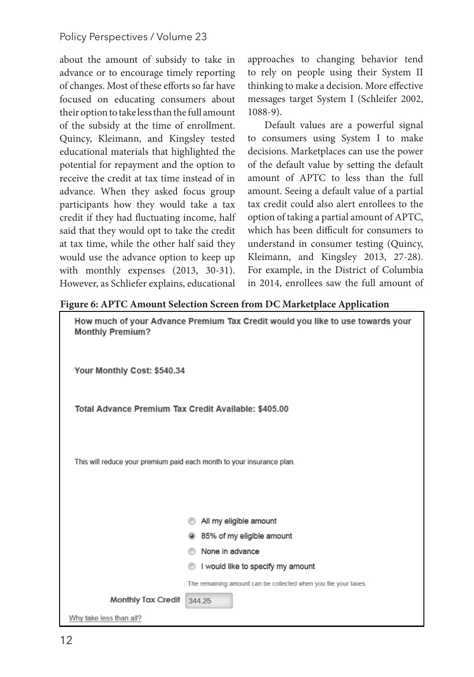about the amount of subsidy to take in advance or to encourage timely reporting of changes. Most of these efforts so far have focused on educating consumers about their option to take less than the full amount of the subsidy at the time of enrollment. Quincy, Kleimann, and Kingsley tested educational materials that highlighted the potential for repayment and the option to receive the credit at tax time instead of in advance. When they asked focus group participants how they would take a tax credit if they had fluctuating income, half said that they would opt to take the credit at tax time, while the other half said they would use the advance option to keep up with monthly expenses (2013, 30-31). However, as Schliefer explains, educational

approaches to changing behavior tend to rely on people using their System II thinking to make a decision. More effective messages target System I (Schleifer 2002, 1088-9).

Default values are a powerful signal to consumers using System I to make decisions. Marketplaces can use the power of the default value by setting the default amount of APTC to less than the full amount. Seeing a default value of a partial tax credit could also alert enrollees to the option of taking a partial amount of APTC, which has been difficult for consumers to understand in consumer testing (Quincy, Kleimann, and Kingsley 2013, 27-28). For example, in the District of Columbia in 2014, enrollees saw the full amount of

#### **Figure 6: APTC Amount Selection Screen from DC Marketplace Application**

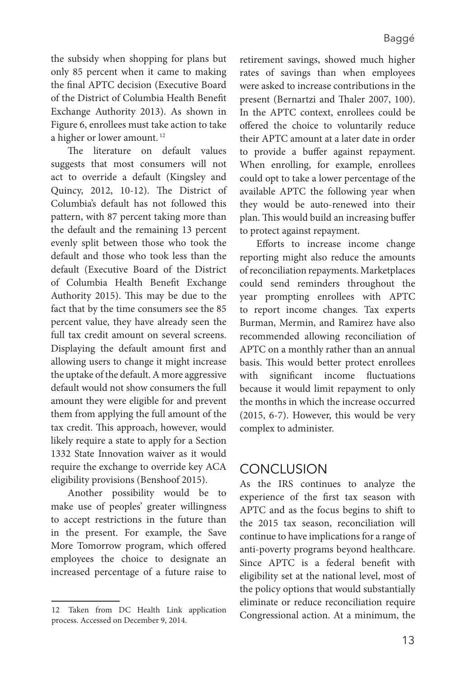the subsidy when shopping for plans but only 85 percent when it came to making the final APTC decision (Executive Board of the District of Columbia Health Benefit Exchange Authority 2013). As shown in Figure 6, enrollees must take action to take a higher or lower amount. 12

The literature on default values suggests that most consumers will not act to override a default (Kingsley and Quincy, 2012, 10-12). The District of Columbia's default has not followed this pattern, with 87 percent taking more than the default and the remaining 13 percent evenly split between those who took the default and those who took less than the default (Executive Board of the District of Columbia Health Benefit Exchange Authority 2015). This may be due to the fact that by the time consumers see the 85 percent value, they have already seen the full tax credit amount on several screens. Displaying the default amount first and allowing users to change it might increase the uptake of the default. A more aggressive default would not show consumers the full amount they were eligible for and prevent them from applying the full amount of the tax credit. This approach, however, would likely require a state to apply for a Section 1332 State Innovation waiver as it would require the exchange to override key ACA eligibility provisions (Benshoof 2015).

Another possibility would be to make use of peoples' greater willingness to accept restrictions in the future than in the present. For example, the Save More Tomorrow program, which offered employees the choice to designate an increased percentage of a future raise to retirement savings, showed much higher rates of savings than when employees were asked to increase contributions in the present (Bernartzi and Thaler 2007, 100). In the APTC context, enrollees could be offered the choice to voluntarily reduce their APTC amount at a later date in order to provide a buffer against repayment. When enrolling, for example, enrollees could opt to take a lower percentage of the available APTC the following year when they would be auto-renewed into their plan. This would build an increasing buffer to protect against repayment.

Efforts to increase income change reporting might also reduce the amounts of reconciliation repayments. Marketplaces could send reminders throughout the year prompting enrollees with APTC to report income changes. Tax experts Burman, Mermin, and Ramirez have also recommended allowing reconciliation of APTC on a monthly rather than an annual basis. This would better protect enrollees with significant income fluctuations because it would limit repayment to only the months in which the increase occurred (2015, 6-7). However, this would be very complex to administer.

#### **CONCLUSION**

As the IRS continues to analyze the experience of the first tax season with APTC and as the focus begins to shift to the 2015 tax season, reconciliation will continue to have implications for a range of anti-poverty programs beyond healthcare. Since APTC is a federal benefit with eligibility set at the national level, most of the policy options that would substantially eliminate or reduce reconciliation require 12 Taken from DC Health Link application<br>Congressional action. At a minimum, the

process. Accessed on December 9, 2014.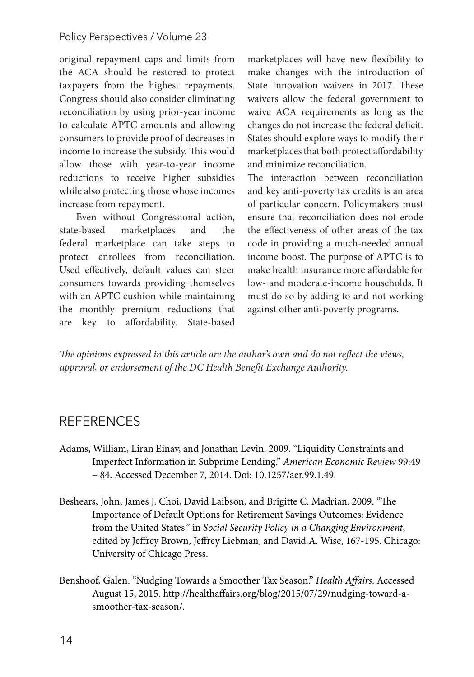#### Policy Perspectives / Volume 23

original repayment caps and limits from the ACA should be restored to protect taxpayers from the highest repayments. Congress should also consider eliminating reconciliation by using prior-year income to calculate APTC amounts and allowing consumers to provide proof of decreases in income to increase the subsidy. This would allow those with year-to-year income reductions to receive higher subsidies while also protecting those whose incomes increase from repayment.

Even without Congressional action, state-based marketplaces and the federal marketplace can take steps to protect enrollees from reconciliation. Used effectively, default values can steer consumers towards providing themselves with an APTC cushion while maintaining the monthly premium reductions that are key to affordability. State-based

marketplaces will have new flexibility to make changes with the introduction of State Innovation waivers in 2017. These waivers allow the federal government to waive ACA requirements as long as the changes do not increase the federal deficit. States should explore ways to modify their marketplaces that both protect affordability and minimize reconciliation.

The interaction between reconciliation and key anti-poverty tax credits is an area of particular concern. Policymakers must ensure that reconciliation does not erode the effectiveness of other areas of the tax code in providing a much-needed annual income boost. The purpose of APTC is to make health insurance more affordable for low- and moderate-income households. It must do so by adding to and not working against other anti-poverty programs.

*The opinions expressed in this article are the author's own and do not reflect the views, approval, or endorsement of the DC Health Benefit Exchange Authority.*

#### REFERENCES

- Adams, William, Liran Einav, and Jonathan Levin. 2009. "Liquidity Constraints and Imperfect Information in Subprime Lending." *American Economic Review* 99:49 – 84. Accessed December 7, 2014. Doi: 10.1257/aer.99.1.49.
- Beshears, John, James J. Choi, David Laibson, and Brigitte C. Madrian. 2009. "The Importance of Default Options for Retirement Savings Outcomes: Evidence from the United States." in *Social Security Policy in a Changing Environment*, edited by Jeffrey Brown, Jeffrey Liebman, and David A. Wise, 167-195. Chicago: University of Chicago Press.
- Benshoof, Galen. "Nudging Towards a Smoother Tax Season." *Health Affairs*. Accessed August 15, 2015. http://healthaffairs.org/blog/2015/07/29/nudging-toward-asmoother-tax-season/.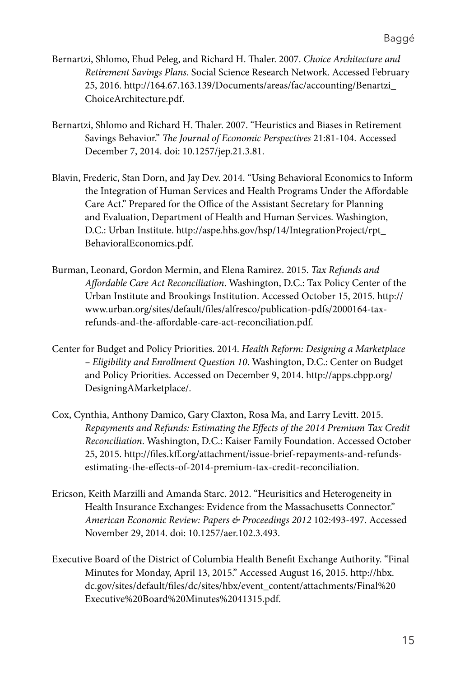- Bernartzi, Shlomo, Ehud Peleg, and Richard H. Thaler. 2007. *Choice Architecture and Retirement Savings Plans*. Social Science Research Network. Accessed February 25, 2016. http://164.67.163.139/Documents/areas/fac/accounting/Benartzi\_ ChoiceArchitecture.pdf.
- Bernartzi, Shlomo and Richard H. Thaler. 2007. "Heuristics and Biases in Retirement Savings Behavior." *The Journal of Economic Perspectives* 21:81-104. Accessed December 7, 2014. doi: 10.1257/jep.21.3.81.
- Blavin, Frederic, Stan Dorn, and Jay Dev. 2014. "Using Behavioral Economics to Inform the Integration of Human Services and Health Programs Under the Affordable Care Act." Prepared for the Office of the Assistant Secretary for Planning and Evaluation, Department of Health and Human Services. Washington, D.C.: Urban Institute. http://aspe.hhs.gov/hsp/14/IntegrationProject/rpt\_ BehavioralEconomics.pdf.
- Burman, Leonard, Gordon Mermin, and Elena Ramirez. 2015. *Tax Refunds and Affordable Care Act Reconciliation*. Washington, D.C.: Tax Policy Center of the Urban Institute and Brookings Institution. Accessed October 15, 2015. http:// www.urban.org/sites/default/files/alfresco/publication-pdfs/2000164-taxrefunds-and-the-affordable-care-act-reconciliation.pdf.
- Center for Budget and Policy Priorities. 2014. *Health Reform: Designing a Marketplace – Eligibility and Enrollment Question 10*. Washington, D.C.: Center on Budget and Policy Priorities. Accessed on December 9, 2014. http://apps.cbpp.org/ DesigningAMarketplace/.
- Cox, Cynthia, Anthony Damico, Gary Claxton, Rosa Ma, and Larry Levitt. 2015. *Repayments and Refunds: Estimating the Effects of the 2014 Premium Tax Credit Reconciliation*. Washington, D.C.: Kaiser Family Foundation. Accessed October 25, 2015. http://files.kff.org/attachment/issue-brief-repayments-and-refundsestimating-the-effects-of-2014-premium-tax-credit-reconciliation.
- Ericson, Keith Marzilli and Amanda Starc. 2012. "Heurisitics and Heterogeneity in Health Insurance Exchanges: Evidence from the Massachusetts Connector." *American Economic Review: Papers & Proceedings 2012* 102:493-497. Accessed November 29, 2014. doi: 10.1257/aer.102.3.493.
- Executive Board of the District of Columbia Health Benefit Exchange Authority. "Final Minutes for Monday, April 13, 2015." Accessed August 16, 2015. http://hbx. dc.gov/sites/default/files/dc/sites/hbx/event\_content/attachments/Final%20 Executive%20Board%20Minutes%2041315.pdf.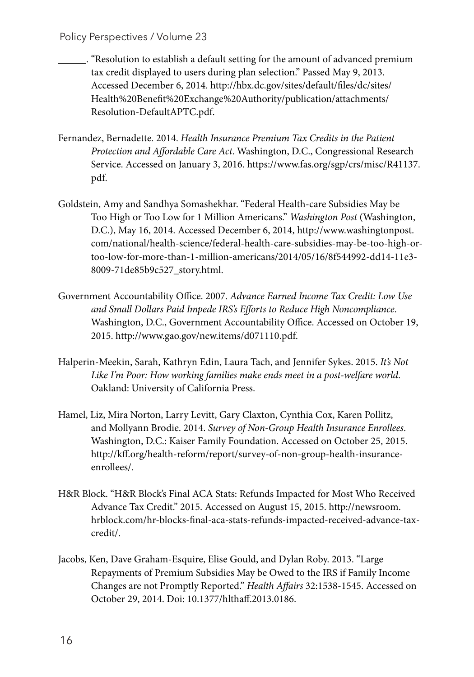- . "Resolution to establish a default setting for the amount of advanced premium tax credit displayed to users during plan selection." Passed May 9, 2013. Accessed December 6, 2014. http://hbx.dc.gov/sites/default/files/dc/sites/ Health%20Benefit%20Exchange%20Authority/publication/attachments/ Resolution-DefaultAPTC.pdf.
- Fernandez, Bernadette. 2014. *Health Insurance Premium Tax Credits in the Patient Protection and Affordable Care Act*. Washington, D.C., Congressional Research Service. Accessed on January 3, 2016. https://www.fas.org/sgp/crs/misc/R41137. pdf.
- Goldstein, Amy and Sandhya Somashekhar. "Federal Health-care Subsidies May be Too High or Too Low for 1 Million Americans." *Washington Post* (Washington, D.C.), May 16, 2014. Accessed December 6, 2014, http://www.washingtonpost. com/national/health-science/federal-health-care-subsidies-may-be-too-high-ortoo-low-for-more-than-1-million-americans/2014/05/16/8f544992-dd14-11e3- 8009-71de85b9c527\_story.html.
- Government Accountability Office. 2007. *Advance Earned Income Tax Credit: Low Use and Small Dollars Paid Impede IRS's Efforts to Reduce High Noncompliance*. Washington, D.C., Government Accountability Office. Accessed on October 19, 2015. http://www.gao.gov/new.items/d071110.pdf.
- Halperin-Meekin, Sarah, Kathryn Edin, Laura Tach, and Jennifer Sykes. 2015. *It's Not Like I'm Poor: How working families make ends meet in a post-welfare world*. Oakland: University of California Press.
- Hamel, Liz, Mira Norton, Larry Levitt, Gary Claxton, Cynthia Cox, Karen Pollitz, and Mollyann Brodie. 2014. *Survey of Non-Group Health Insurance Enrollees*. Washington, D.C.: Kaiser Family Foundation. Accessed on October 25, 2015. http://kff.org/health-reform/report/survey-of-non-group-health-insuranceenrollees/.
- H&R Block. "H&R Block's Final ACA Stats: Refunds Impacted for Most Who Received Advance Tax Credit." 2015. Accessed on August 15, 2015. http://newsroom. hrblock.com/hr-blocks-final-aca-stats-refunds-impacted-received-advance-taxcredit/.
- Jacobs, Ken, Dave Graham-Esquire, Elise Gould, and Dylan Roby. 2013. "Large Repayments of Premium Subsidies May be Owed to the IRS if Family Income Changes are not Promptly Reported." *Health Affairs* 32:1538-1545. Accessed on October 29, 2014. Doi: 10.1377/hlthaff.2013.0186.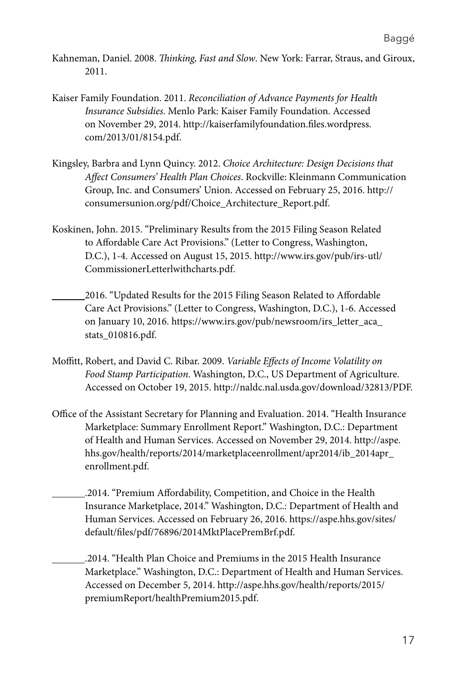- Kahneman, Daniel. 2008. *Thinking, Fast and Slow*. New York: Farrar, Straus, and Giroux, 2011.
- Kaiser Family Foundation. 2011. *Reconciliation of Advance Payments for Health Insurance Subsidies*. Menlo Park: Kaiser Family Foundation. Accessed on November 29, 2014. http://kaiserfamilyfoundation.files.wordpress. com/2013/01/8154.pdf.
- Kingsley, Barbra and Lynn Quincy. 2012. *Choice Architecture: Design Decisions that Affect Consumers' Health Plan Choices*. Rockville: Kleinmann Communication Group, Inc. and Consumers' Union. Accessed on February 25, 2016. http:// consumersunion.org/pdf/Choice\_Architecture\_Report.pdf.
- Koskinen, John. 2015. "Preliminary Results from the 2015 Filing Season Related to Affordable Care Act Provisions." (Letter to Congress, Washington, D.C.), 1-4. Accessed on August 15, 2015. http://www.irs.gov/pub/irs-utl/ CommissionerLetterlwithcharts.pdf.
- 2016. "Updated Results for the 2015 Filing Season Related to Affordable Care Act Provisions." (Letter to Congress, Washington, D.C.), 1-6. Accessed on January 10, 2016. https://www.irs.gov/pub/newsroom/irs\_letter\_aca\_ stats\_010816.pdf.
- Moffitt, Robert, and David C. Ribar. 2009. *Variable Effects of Income Volatility on Food Stamp Participation*. Washington, D.C., US Department of Agriculture. Accessed on October 19, 2015. http://naldc.nal.usda.gov/download/32813/PDF.
- Office of the Assistant Secretary for Planning and Evaluation. 2014. "Health Insurance Marketplace: Summary Enrollment Report." Washington, D.C.: Department of Health and Human Services. Accessed on November 29, 2014. http://aspe. hhs.gov/health/reports/2014/marketplaceenrollment/apr2014/ib\_2014apr\_ enrollment.pdf.
	- .2014. "Premium Affordability, Competition, and Choice in the Health Insurance Marketplace, 2014." Washington, D.C.: Department of Health and Human Services. Accessed on February 26, 2016. https://aspe.hhs.gov/sites/ default/files/pdf/76896/2014MktPlacePremBrf.pdf.
	- .2014. "Health Plan Choice and Premiums in the 2015 Health Insurance Marketplace." Washington, D.C.: Department of Health and Human Services. Accessed on December 5, 2014. http://aspe.hhs.gov/health/reports/2015/ premiumReport/healthPremium2015.pdf.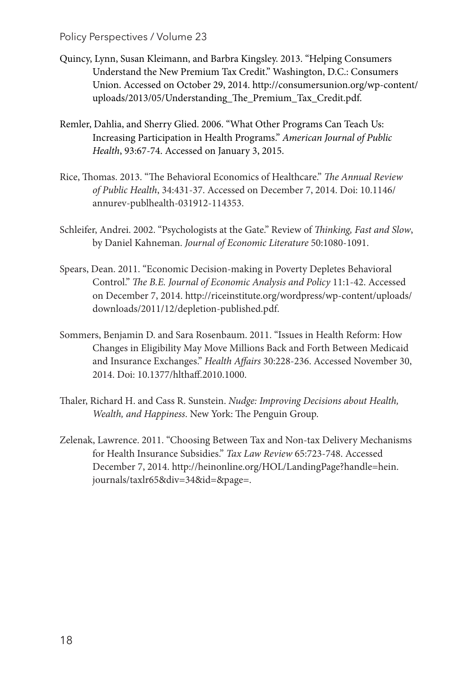#### Policy Perspectives / Volume 23

- Quincy, Lynn, Susan Kleimann, and Barbra Kingsley. 2013. "Helping Consumers Understand the New Premium Tax Credit." Washington, D.C.: Consumers Union. Accessed on October 29, 2014. http://consumersunion.org/wp-content/ uploads/2013/05/Understanding\_The\_Premium\_Tax\_Credit.pdf.
- Remler, Dahlia, and Sherry Glied. 2006. "What Other Programs Can Teach Us: Increasing Participation in Health Programs." *American Journal of Public Health*, 93:67-74. Accessed on January 3, 2015.
- Rice, Thomas. 2013. "The Behavioral Economics of Healthcare." *The Annual Review of Public Health*, 34:431-37. Accessed on December 7, 2014. Doi: 10.1146/ annurev-publhealth-031912-114353.
- Schleifer, Andrei. 2002. "Psychologists at the Gate." Review of *Thinking, Fast and Slow*, by Daniel Kahneman. *Journal of Economic Literature* 50:1080-1091.
- Spears, Dean. 2011. "Economic Decision-making in Poverty Depletes Behavioral Control." *The B.E. Journal of Economic Analysis and Policy* 11:1-42. Accessed on December 7, 2014. http://riceinstitute.org/wordpress/wp-content/uploads/ downloads/2011/12/depletion-published.pdf.
- Sommers, Benjamin D. and Sara Rosenbaum. 2011. "Issues in Health Reform: How Changes in Eligibility May Move Millions Back and Forth Between Medicaid and Insurance Exchanges." *Health Affairs* 30:228-236. Accessed November 30, 2014. Doi: 10.1377/hlthaff.2010.1000.
- Thaler, Richard H. and Cass R. Sunstein. *Nudge: Improving Decisions about Health, Wealth, and Happiness*. New York: The Penguin Group.
- Zelenak, Lawrence. 2011. "Choosing Between Tax and Non-tax Delivery Mechanisms for Health Insurance Subsidies." *Tax Law Review* 65:723-748. Accessed December 7, 2014. http://heinonline.org/HOL/LandingPage?handle=hein. journals/taxlr65&div=34&id=&page=.